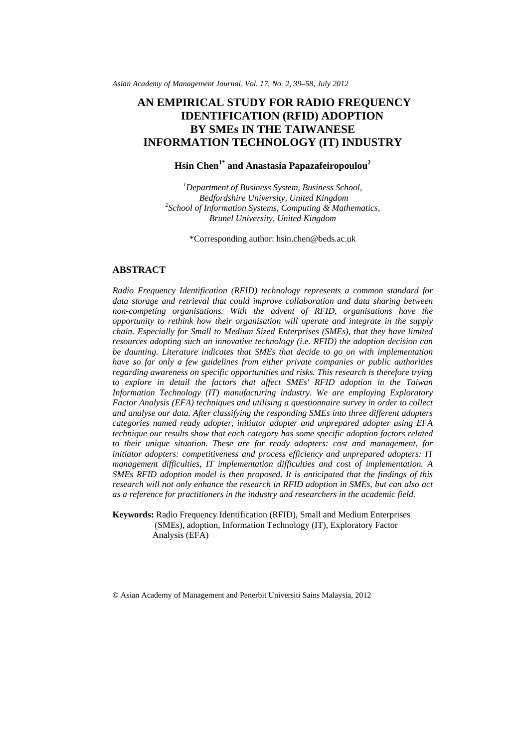*Asian Academy of Management Journal, Vol. 17, No. 2, 39–58, July 2012* 

# **AN EMPIRICAL STUDY FOR RADIO FREQUENCY IDENTIFICATION (RFID) ADOPTION BY SMEs IN THE TAIWANESE INFORMATION TECHNOLOGY (IT) INDUSTRY**

## **Hsin Chen1\* and Anastasia Papazafeiropoulou2**

*1 Department of Business System, Business School, Bedfordshire University, United Kingdom 2 School of Information Systems, Computing & Mathematics, Brunel University, United Kingdom* 

\*Corresponding author: [hsin.chen@beds.ac.uk](mailto:hsin.chen@beds.ac.uk) 

## **ABSTRACT**

*Radio Frequency Identification (RFID) technology represents a common standard for*  data storage and retrieval that could improve collaboration and data sharing between *non-competing organisations. With the advent of RFID, organisations have the opportunity to rethink how their organisation will operate and integrate in the supply chain. Especially for Small to Medium Sized Enterprises (SMEs), that they have limited resources adopting such an innovative technology (i.e. RFID) the adoption decision can be daunting. Literature indicates that SMEs that decide to go on with implementation have so far only a few guidelines from either private companies or public authorities regarding awareness on specific opportunities and risks. This research is therefore trying*  to explore in detail the factors that affect SMEs' RFID adoption in the Taiwan *Information Technology (IT) manufacturing industry. We are employing Exploratory Factor Analysis (EFA) techniques and utilising a questionnaire survey in order to collect and analyse our data. After classifying the responding SMEs into three different adopters categories named ready adopter, initiator adopter and unprepared adopter using EFA technique our results show that each category has some specific adoption factors related to their unique situation. These are for ready adopters: cost and management, for initiator adopters: competitiveness and process efficiency and unprepared adopters: IT management difficulties, IT implementation difficulties and cost of implementation. A SMEs RFID adoption model is then proposed. It is anticipated that the findings of this research will not only enhance the research in RFID adoption in SMEs, but can also act as a reference for practitioners in the industry and researchers in the academic field.* 

**Keywords:** Radio Frequency Identification (RFID), Small and Medium Enterprises (SMEs), adoption, Information Technology (IT), Exploratory Factor Analysis (EFA)

© Asian Academy of Management and Penerbit Universiti Sains Malaysia, 2012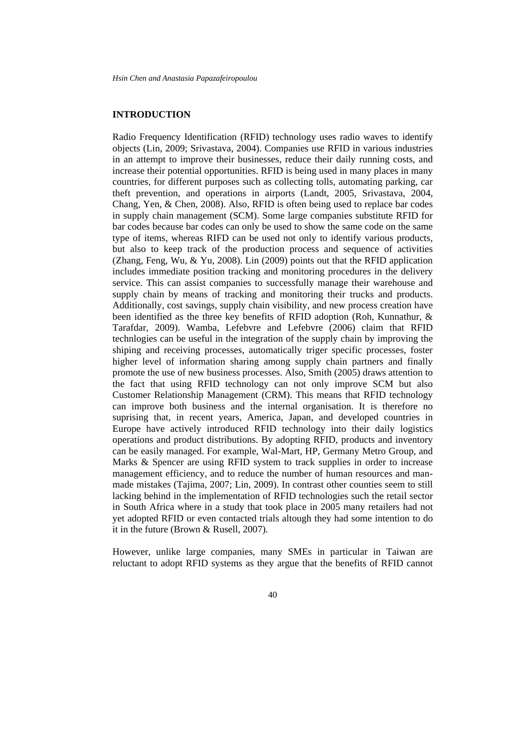### **INTRODUCTION**

Radio Frequency Identification (RFID) technology uses radio waves to identify objects (Lin, 2009; Srivastava, 2004). Companies use RFID in various industries in an attempt to improve their businesses, reduce their daily running costs, and increase their potential opportunities. RFID is being used in many places in many countries, for different purposes such as collecting tolls, automating parking, car theft prevention, and operations in airports (Landt, 2005, Srivastava, 2004, Chang, Yen, & Chen, 2008). Also, RFID is often being used to replace bar codes in supply chain management (SCM). Some large companies substitute RFID for bar codes because bar codes can only be used to show the same code on the same type of items, whereas RIFD can be used not only to identify various products, but also to keep track of the production process and sequence of activities (Zhang, Feng, Wu, & Yu, 2008). Lin (2009) points out that the RFID application includes immediate position tracking and monitoring procedures in the delivery service. This can assist companies to successfully manage their warehouse and supply chain by means of tracking and monitoring their trucks and products. Additionally, cost savings, supply chain visibility, and new process creation have been identified as the three key benefits of RFID adoption (Roh, Kunnathur, & Tarafdar, 2009). Wamba, Lefebvre and Lefebvre (2006) claim that RFID technlogies can be useful in the integration of the supply chain by improving the shiping and receiving processes, automatically triger specific processes, foster higher level of information sharing among supply chain partners and finally promote the use of new business processes. Also, Smith (2005) draws attention to the fact that using RFID technology can not only improve SCM but also Customer Relationship Management (CRM). This means that RFID technology can improve both business and the internal organisation. It is therefore no suprising that, in recent years, America, Japan, and developed countries in Europe have actively introduced RFID technology into their daily logistics operations and product distributions. By adopting RFID, products and inventory can be easily managed. For example, Wal-Mart, HP, Germany Metro Group, and Marks & Spencer are using RFID system to track supplies in order to increase management efficiency, and to reduce the number of human resources and manmade mistakes (Tajima, 2007; Lin, 2009). In contrast other counties seem to still lacking behind in the implementation of RFID technologies such the retail sector in South Africa where in a study that took place in 2005 many retailers had not yet adopted RFID or even contacted trials altough they had some intention to do it in the future (Brown & Rusell, 2007).

However, unlike large companies, many SMEs in particular in Taiwan are reluctant to adopt RFID systems as they argue that the benefits of RFID cannot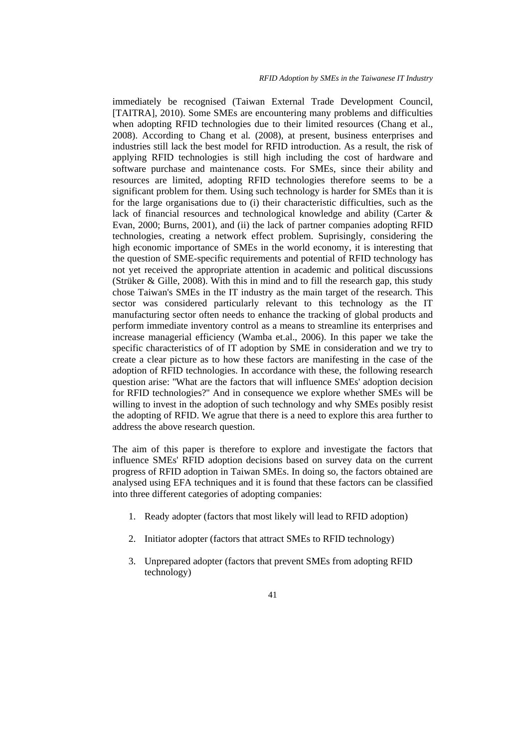immediately be recognised (Taiwan External Trade Development Council, [\[TAITRA\]](http://www.taitra.com.tw/), 2010). Some SMEs are encountering many problems and difficulties when adopting RFID technologies due to their limited resources (Chang et al., 2008). According to Chang et al*.* (2008), at present, business enterprises and industries still lack the best model for RFID introduction. As a result, the risk of applying RFID technologies is still high including the cost of hardware and software purchase and maintenance costs. For SMEs, since their ability and resources are limited, adopting RFID technologies therefore seems to be a significant problem for them. Using such technology is harder for SMEs than it is for the large organisations due to (i) their characteristic difficulties, such as the lack of financial resources and technological knowledge and ability (Carter & Evan, 2000; Burns, 2001), and (ii) the lack of partner companies adopting RFID technologies, creating a network effect problem. Suprisingly, considering the high economic importance of SMEs in the world economy, it is interesting that the question of SME-specific requirements and potential of RFID technology has not yet received the appropriate attention in academic and political discussions (Strüker & Gille, 2008). With this in mind and to fill the research gap, this study chose Taiwan's SMEs in the IT industry as the main target of the research. This sector was considered particularly relevant to this technology as the IT manufacturing sector often needs to enhance the tracking of global products and perform immediate inventory control as a means to streamline its enterprises and increase managerial efficiency (Wamba et.al., 2006). In this paper we take the specific characteristics of of IT adoption by SME in consideration and we try to create a clear picture as to how these factors are manifesting in the case of the adoption of RFID technologies. In accordance with these, the following research question arise: ''What are the factors that will influence SMEs' adoption decision for RFID technologies?'' And in consequence we explore whether SMEs will be willing to invest in the adoption of such technology and why SMEs posibly resist the adopting of RFID. We agrue that there is a need to explore this area further to address the above research question.

The aim of this paper is therefore to explore and investigate the factors that influence SMEs' RFID adoption decisions based on survey data on the current progress of RFID adoption in Taiwan SMEs. In doing so, the factors obtained are analysed using EFA techniques and it is found that these factors can be classified into three different categories of adopting companies:

- 1. Ready adopter (factors that most likely will lead to RFID adoption)
- 2. Initiator adopter (factors that attract SMEs to RFID technology)
- 3. Unprepared adopter (factors that prevent SMEs from adopting RFID technology)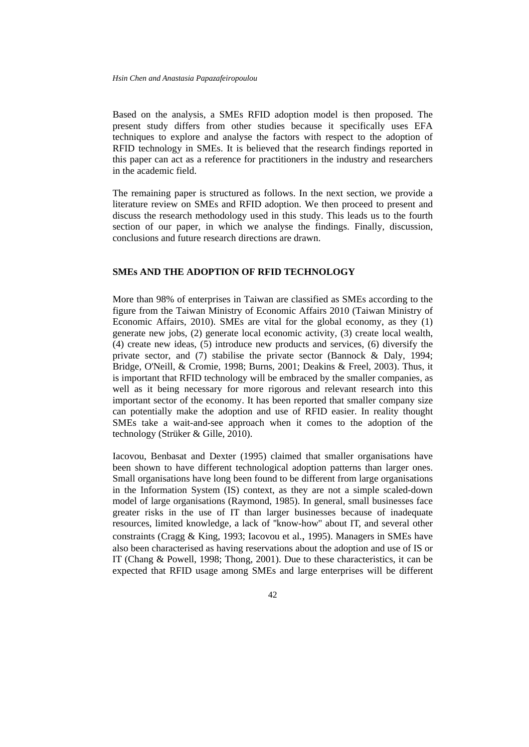Based on the analysis, a SMEs RFID adoption model is then proposed. The present study differs from other studies because it specifically uses EFA techniques to explore and analyse the factors with respect to the adoption of RFID technology in SMEs. It is believed that the research findings reported in this paper can act as a reference for practitioners in the industry and researchers in the academic field.

The remaining paper is structured as follows. In the next section, we provide a literature review on SMEs and RFID adoption. We then proceed to present and discuss the research methodology used in this study. This leads us to the fourth section of our paper, in which we analyse the findings. Finally, discussion, conclusions and future research directions are drawn.

### **SMEs AND THE ADOPTION OF RFID TECHNOLOGY**

More than 98% of enterprises in Taiwan are classified as SMEs according to the figure from the Taiwan Ministry of Economic Affairs 2010 (Taiwan Ministry of Economic Affairs, 2010). SMEs are vital for the global economy, as they (1) generate new jobs, (2) generate local economic activity, (3) create local wealth, (4) create new ideas, (5) introduce new products and services, (6) diversify the private sector, and (7) stabilise the private sector (Bannock & Daly, 1994; Bridge, O'Neill, & Cromie, 1998; Burns, 2001; Deakins & Freel, 2003). Thus, it is important that RFID technology will be embraced by the smaller companies, as well as it being necessary for more rigorous and relevant research into this important sector of the economy. It has been reported that smaller company size can potentially make the adoption and use of RFID easier. In reality thought SMEs take a wait-and-see approach when it comes to the adoption of the technology (Strüker & Gille, 2010).

Iacovou, Benbasat and Dexter (1995) claimed that smaller organisations have been shown to have different technological adoption patterns than larger ones. Small organisations have long been found to be different from large organisations in the Information System (IS) context, as they are not a simple scaled-down model of large organisations (Raymond, 1985). In general, small businesses face greater risks in the use of IT than larger businesses because of inadequate resources, limited knowledge, a lack of ''know-how'' about IT, and several other constraints (Cragg & King, 1993; Iacovou et al., 1995). Managers in SMEs have also been characterised as having reservations about the adoption and use of IS or IT (Chang & Powell, 1998; Thong, 2001). Due to these characteristics, it can be expected that RFID usage among SMEs and large enterprises will be different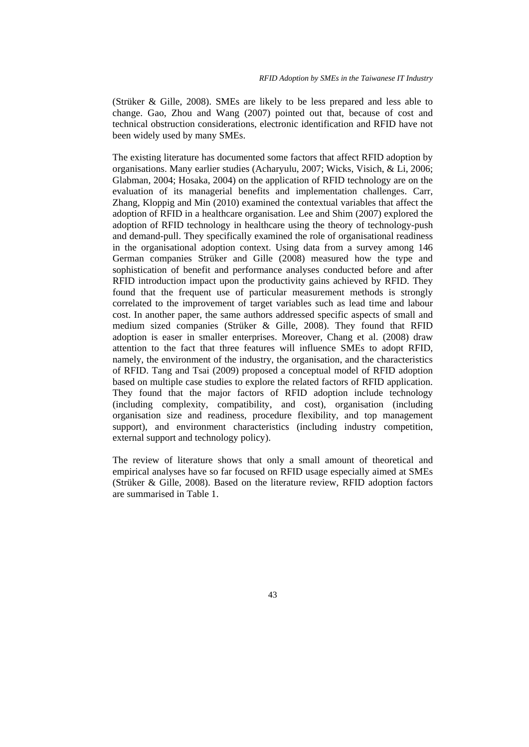(Strüker & Gille, 2008). SMEs are likely to be less prepared and less able to change. Gao, Zhou and Wang (2007) pointed out that, because of cost and technical obstruction considerations, electronic identification and RFID have not been widely used by many SMEs.

The existing literature has documented some factors that affect RFID adoption by organisations. Many earlier studies (Acharyulu, 2007; Wicks, Visich, & Li, 2006; Glabman, 2004; Hosaka, 2004) on the application of RFID technology are on the evaluation of its managerial benefits and implementation challenges. Carr, Zhang, Kloppig and Min (2010) examined the contextual variables that affect the adoption of RFID in a healthcare organisation. Lee and Shim (2007) explored the adoption of RFID technology in healthcare using the theory of technology-push and demand-pull. They specifically examined the role of organisational readiness in the organisational adoption context. Using data from a survey among 146 German companies Strüker and Gille (2008) measured how the type and sophistication of benefit and performance analyses conducted before and after RFID introduction impact upon the productivity gains achieved by RFID. They found that the frequent use of particular measurement methods is strongly correlated to the improvement of target variables such as lead time and labour cost. In another paper, the same authors addressed specific aspects of small and medium sized companies (Strüker & Gille, 2008). They found that RFID adoption is easer in smaller enterprises. Moreover, Chang et al. (2008) draw attention to the fact that three features will influence SMEs to adopt RFID, namely, the environment of the industry, the organisation, and the characteristics of RFID. Tang and Tsai (2009) proposed a conceptual model of RFID adoption based on multiple case studies to explore the related factors of RFID application. They found that the major factors of RFID adoption include technology (including complexity, compatibility, and cost), organisation (including organisation size and readiness, procedure flexibility, and top management support), and environment characteristics (including industry competition, external support and technology policy).

The review of literature shows that only a small amount of theoretical and empirical analyses have so far focused on RFID usage especially aimed at SMEs (Strüker & Gille, 2008). Based on the literature review, RFID adoption factors are summarised in Table 1.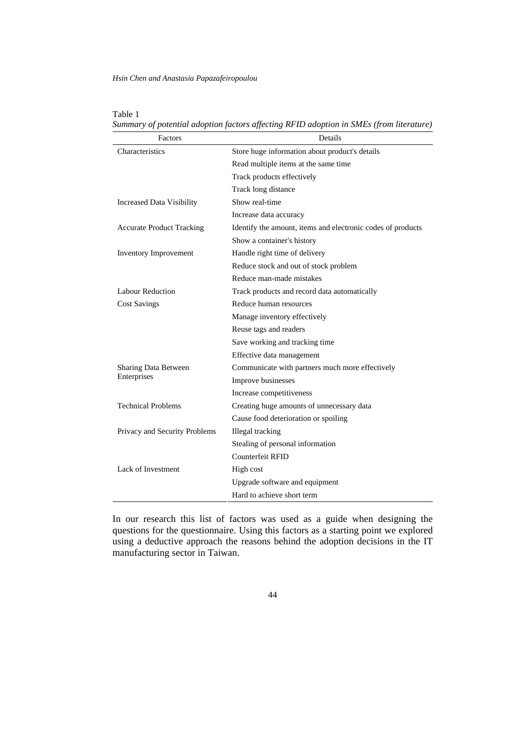| Factors                          | Details                                                     |  |
|----------------------------------|-------------------------------------------------------------|--|
| Characteristics                  | Store huge information about product's details              |  |
|                                  | Read multiple items at the same time                        |  |
|                                  | Track products effectively                                  |  |
|                                  | Track long distance                                         |  |
| <b>Increased Data Visibility</b> | Show real-time                                              |  |
|                                  | Increase data accuracy                                      |  |
| <b>Accurate Product Tracking</b> | Identify the amount, items and electronic codes of products |  |
|                                  | Show a container's history                                  |  |
| <b>Inventory Improvement</b>     | Handle right time of delivery                               |  |
|                                  | Reduce stock and out of stock problem                       |  |
|                                  | Reduce man-made mistakes                                    |  |
| <b>Labour Reduction</b>          | Track products and record data automatically                |  |
| <b>Cost Savings</b>              | Reduce human resources                                      |  |
|                                  | Manage inventory effectively                                |  |
|                                  | Reuse tags and readers                                      |  |
|                                  | Save working and tracking time                              |  |
|                                  | Effective data management                                   |  |
| Sharing Data Between             | Communicate with partners much more effectively             |  |
| Enterprises                      | Improve businesses                                          |  |
|                                  | Increase competitiveness                                    |  |
| <b>Technical Problems</b>        | Creating huge amounts of unnecessary data                   |  |
|                                  | Cause food deterioration or spoiling                        |  |
| Privacy and Security Problems    | Illegal tracking                                            |  |
|                                  | Stealing of personal information                            |  |
|                                  | Counterfeit RFID                                            |  |
| Lack of Investment               | High cost                                                   |  |
|                                  | Upgrade software and equipment                              |  |
|                                  | Hard to achieve short term                                  |  |

| Table 1                                                                                 |
|-----------------------------------------------------------------------------------------|
| Summary of potential adoption factors affecting RFID adoption in SMEs (from literature) |

In our research this list of factors was used as a guide when designing the questions for the questionnaire. Using this factors as a starting point we explored using a deductive approach the reasons behind the adoption decisions in the IT manufacturing sector in Taiwan.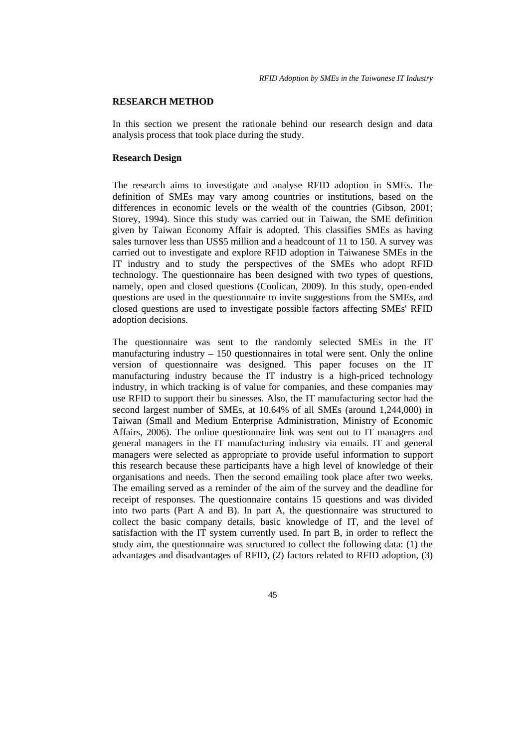### **RESEARCH METHOD**

In this section we present the rationale behind our research design and data analysis process that took place during the study.

### **Research Design**

The research aims to investigate and analyse RFID adoption in SMEs. The definition of SMEs may vary among countries or institutions, based on the differences in economic levels or the wealth of the countries (Gibson, 2001; Storey, 1994). Since this study was carried out in Taiwan, the SME definition given by Taiwan Economy Affair is adopted. This classifies SMEs as having sales turnover less than US\$5 million and a headcount of 11 to 150. A survey was carried out to investigate and explore RFID adoption in Taiwanese SMEs in the IT industry and to study the perspectives of the SMEs who adopt RFID technology. The questionnaire has been designed with two types of questions, namely, open and closed questions (Coolican, 2009). In this study, open-ended questions are used in the questionnaire to invite suggestions from the SMEs, and closed questions are used to investigate possible factors affecting SMEs' RFID adoption decisions.

The questionnaire was sent to the randomly selected SMEs in the IT manufacturing industry – 150 questionnaires in total were sent. Only the online version of questionnaire was designed. This paper focuses on the IT manufacturing industry because the IT industry is a high-priced technology industry, in which tracking is of value for companies, and these companies may use RFID to support their bu sinesses. Also, the IT manufacturing sector had the second largest number of SMEs, at 10.64% of all SMEs (around 1,244,000) in Taiwan (Small and Medium Enterprise Administration, Ministry of Economic Affairs, 2006). The online questionnaire link was sent out to IT managers and general managers in the IT manufacturing industry via emails. IT and general managers were selected as appropriate to provide useful information to support this research because these participants have a high level of knowledge of their organisations and needs. Then the second emailing took place after two weeks. The emailing served as a reminder of the aim of the survey and the deadline for receipt of responses. The questionnaire contains 15 questions and was divided into two parts (Part A and B). In part A, the questionnaire was structured to collect the basic company details, basic knowledge of IT, and the level of satisfaction with the IT system currently used. In part B, in order to reflect the study aim, the questionnaire was structured to collect the following data: (1) the advantages and disadvantages of RFID, (2) factors related to RFID adoption, (3)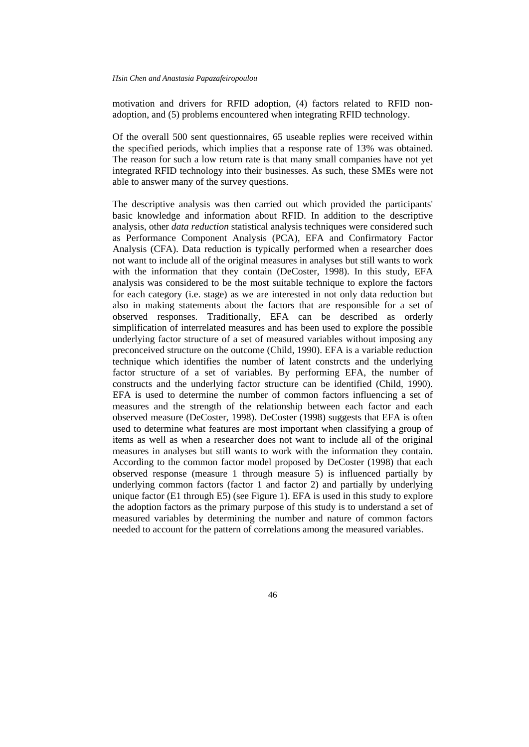motivation and drivers for RFID adoption, (4) factors related to RFID nonadoption, and (5) problems encountered when integrating RFID technology.

Of the overall 500 sent questionnaires, 65 useable replies were received within the specified periods, which implies that a response rate of 13% was obtained. The reason for such a low return rate is that many small companies have not yet integrated RFID technology into their businesses. As such, these SMEs were not able to answer many of the survey questions.

The descriptive analysis was then carried out which provided the participants' basic knowledge and information about RFID. In addition to the descriptive analysis, other *data reduction* statistical analysis techniques were considered such as Performance Component Analysis (PCA), EFA and Confirmatory Factor Analysis (CFA). Data reduction is typically performed when a researcher does not want to include all of the original measures in analyses but still wants to work with the information that they contain (DeCoster, 1998). In this study, EFA analysis was considered to be the most suitable technique to explore the factors for each category (i.e. stage) as we are interested in not only data reduction but also in making statements about the factors that are responsible for a set of observed responses. Traditionally, EFA can be described as orderly simplification of interrelated measures and has been used to explore the possible underlying factor structure of a set of measured variables without imposing any preconceived structure on the outcome (Child, 1990). EFA is a variable reduction technique which identifies the number of latent constrcts and the underlying factor structure of a set of variables. By performing EFA, the number of constructs and the underlying factor structure can be identified (Child, 1990). EFA is used to determine the number of common factors influencing a set of measures and the strength of the relationship between each factor and each observed measure (DeCoster, 1998). DeCoster (1998) suggests that EFA is often used to determine what features are most important when classifying a group of items as well as when a researcher does not want to include all of the original measures in analyses but still wants to work with the information they contain. According to the common factor model proposed by DeCoster (1998) that each observed response (measure 1 through measure 5) is influenced partially by underlying common factors (factor 1 and factor 2) and partially by underlying unique factor (E1 through E5) (see Figure 1). EFA is used in this study to explore the adoption factors as the primary purpose of this study is to understand a set of measured variables by determining the number and nature of common factors needed to account for the pattern of correlations among the measured variables.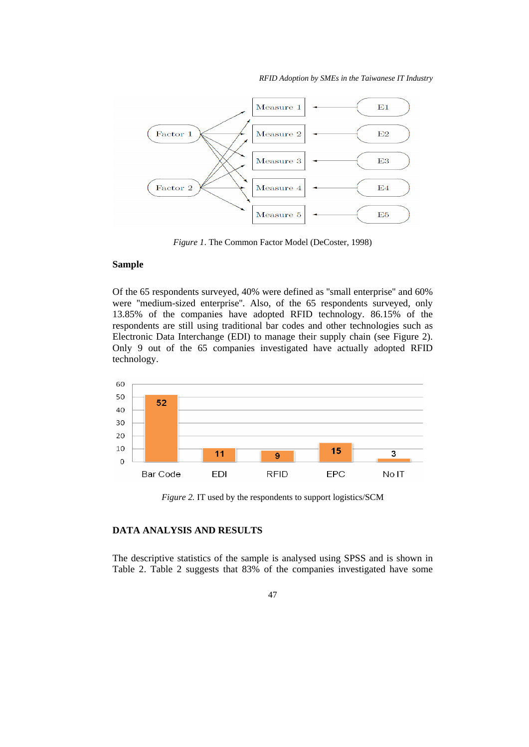*RFID Adoption by SMEs in the Taiwanese IT Industry* 



*Figure 1*. The Common Factor Model (DeCoster, 1998)

## **Sample**

Of the 65 respondents surveyed, 40% were defined as ''small enterprise'' and 60% were ''medium-sized enterprise''. Also, of the 65 respondents surveyed, only 13.85% of the companies have adopted RFID technology. 86.15% of the respondents are still using traditional bar codes and other technologies such as Electronic Data Interchange (EDI) to manage their supply chain (see Figure 2). Only 9 out of the 65 companies investigated have actually adopted RFID technology.



*Figure 2.* IT used by the respondents to support logistics/SCM

## **DATA ANALYSIS AND RESULTS**

The descriptive statistics of the sample is analysed using SPSS and is shown in Table 2. Table 2 suggests that 83% of the companies investigated have some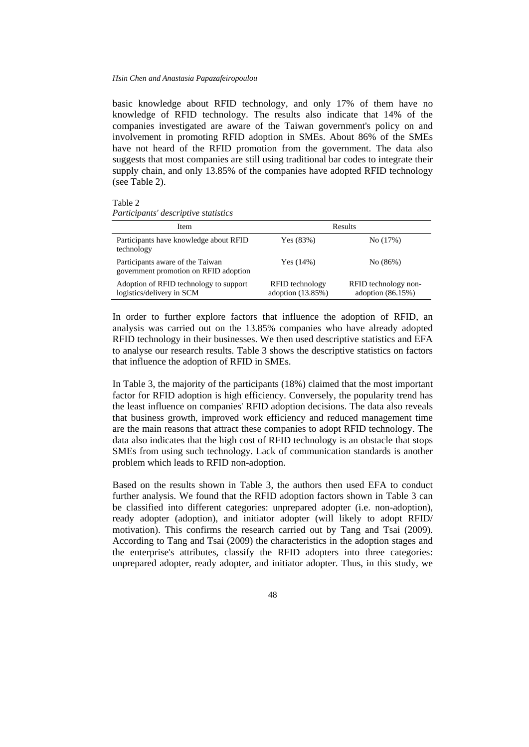basic knowledge about RFID technology, and only 17% of them have no knowledge of RFID technology. The results also indicate that 14% of the companies investigated are aware of the Taiwan government's policy on and involvement in promoting RFID adoption in SMEs. About 86% of the SMEs have not heard of the RFID promotion from the government. The data also suggests that most companies are still using traditional bar codes to integrate their supply chain, and only 13.85% of the companies have adopted RFID technology (see Table 2).

| ٠.<br>i |  |  |  |
|---------|--|--|--|
|---------|--|--|--|

*Participants' descriptive statistics* 

| Item                                                                      |                                             | Results                                     |
|---------------------------------------------------------------------------|---------------------------------------------|---------------------------------------------|
| Participants have knowledge about RFID<br>technology                      | Yes $(83%)$                                 | No(17%)                                     |
| Participants aware of the Taiwan<br>government promotion on RFID adoption | Yes $(14%)$                                 | No (86%)                                    |
| Adoption of RFID technology to support<br>logistics/delivery in SCM       | <b>RFID</b> technology<br>adoption (13.85%) | RFID technology non-<br>adoption $(86.15%)$ |

In order to further explore factors that influence the adoption of RFID, an analysis was carried out on the 13.85% companies who have already adopted RFID technology in their businesses. We then used descriptive statistics and EFA to analyse our research results. Table 3 shows the descriptive statistics on factors that influence the adoption of RFID in SMEs.

In Table 3, the majority of the participants (18%) claimed that the most important factor for RFID adoption is high efficiency. Conversely, the popularity trend has the least influence on companies' RFID adoption decisions. The data also reveals that business growth, improved work efficiency and reduced management time are the main reasons that attract these companies to adopt RFID technology. The data also indicates that the high cost of RFID technology is an obstacle that stops SMEs from using such technology. Lack of communication standards is another problem which leads to RFID non-adoption.

Based on the results shown in Table 3, the authors then used EFA to conduct further analysis. We found that the RFID adoption factors shown in Table 3 can be classified into different categories: unprepared adopter (i.e. non-adoption), ready adopter (adoption), and initiator adopter (will likely to adopt RFID/ motivation). This confirms the research carried out by Tang and Tsai (2009). According to Tang and Tsai (2009) the characteristics in the adoption stages and the enterprise's attributes, classify the RFID adopters into three categories: unprepared adopter, ready adopter, and initiator adopter. Thus, in this study, we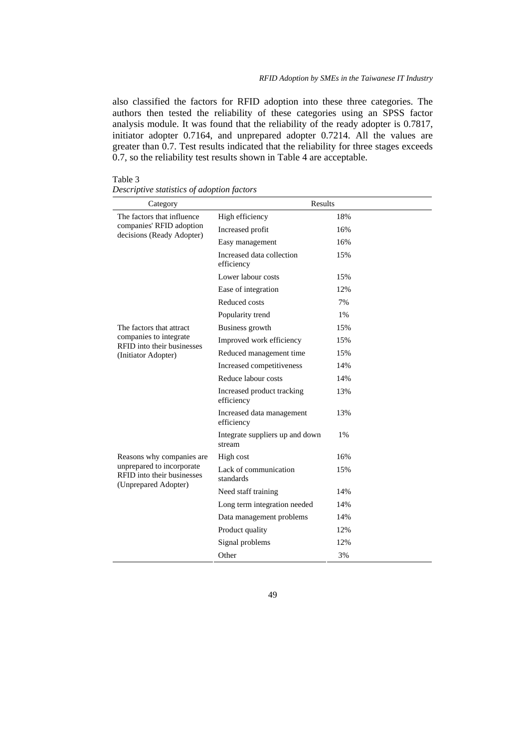also classified the factors for RFID adoption into these three categories. The authors then tested the reliability of these categories using an SPSS factor analysis module. It was found that the reliability of the ready adopter is 0.7817, initiator adopter 0.7164, and unprepared adopter 0.7214. All the values are greater than 0.7. Test results indicated that the reliability for three stages exceeds 0.7, so the reliability test results shown in Table 4 are acceptable.

## Table 3

## *Descriptive statistics of adoption factors*

| Category                                                                            | Results                                   |     |
|-------------------------------------------------------------------------------------|-------------------------------------------|-----|
| The factors that influence<br>companies' RFID adoption<br>decisions (Ready Adopter) | High efficiency                           | 18% |
|                                                                                     | Increased profit                          | 16% |
|                                                                                     | Easy management                           | 16% |
|                                                                                     | Increased data collection<br>efficiency   | 15% |
|                                                                                     | Lower labour costs                        | 15% |
|                                                                                     | Ease of integration                       | 12% |
|                                                                                     | Reduced costs                             | 7%  |
|                                                                                     | Popularity trend                          | 1%  |
| The factors that attract                                                            | Business growth                           | 15% |
| companies to integrate<br>RFID into their businesses                                | Improved work efficiency                  | 15% |
| (Initiator Adopter)                                                                 | Reduced management time                   | 15% |
|                                                                                     | Increased competitiveness                 | 14% |
|                                                                                     | Reduce labour costs                       | 14% |
|                                                                                     | Increased product tracking<br>efficiency  | 13% |
|                                                                                     | Increased data management<br>efficiency   | 13% |
|                                                                                     | Integrate suppliers up and down<br>stream | 1%  |
| Reasons why companies are                                                           | High cost                                 | 16% |
| unprepared to incorporate<br>RFID into their businesses<br>(Unprepared Adopter)     | Lack of communication<br>standards        | 15% |
|                                                                                     | Need staff training                       | 14% |
|                                                                                     | Long term integration needed              | 14% |
|                                                                                     | Data management problems                  | 14% |
|                                                                                     | Product quality                           | 12% |
|                                                                                     | Signal problems                           | 12% |
|                                                                                     | Other                                     | 3%  |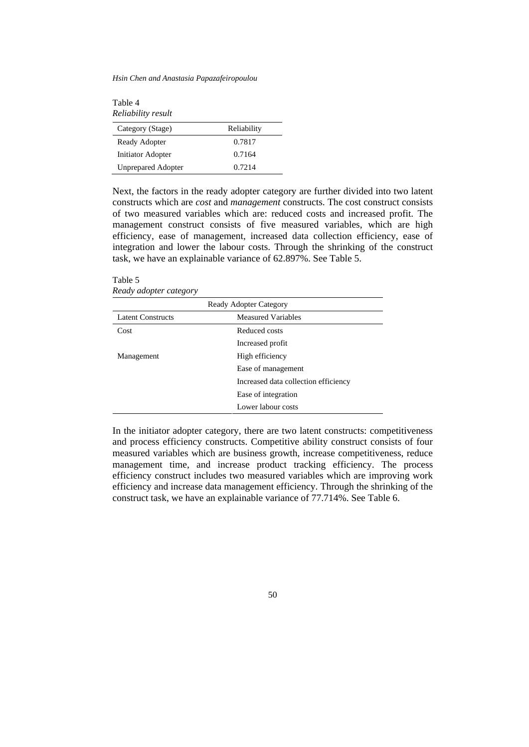*Hsin Chen and Anastasia Papazafeiropoulou* 

Table 4 *Reliability result* 

| Category (Stage)          | Reliability |
|---------------------------|-------------|
| Ready Adopter             | 0.7817      |
| Initiator Adopter         | 0.7164      |
| <b>Unprepared Adopter</b> | 0.7214      |

Next, the factors in the ready adopter category are further divided into two latent constructs which are *cost* and *management* constructs. The cost construct consists of two measured variables which are: reduced costs and increased profit. The management construct consists of five measured variables, which are high efficiency, ease of management, increased data collection efficiency, ease of integration and lower the labour costs. Through the shrinking of the construct task, we have an explainable variance of 62.897%. See Table 5.

Table 5 *Ready adopter category* 

| <b>Ready Adopter Category</b> |                                      |  |
|-------------------------------|--------------------------------------|--|
| <b>Latent Constructs</b>      | <b>Measured Variables</b>            |  |
| Cost                          | Reduced costs                        |  |
|                               | Increased profit                     |  |
| Management                    | High efficiency                      |  |
|                               | Ease of management                   |  |
|                               | Increased data collection efficiency |  |
|                               | Ease of integration                  |  |
|                               | Lower labour costs                   |  |

In the initiator adopter category, there are two latent constructs: competitiveness and process efficiency constructs. Competitive ability construct consists of four measured variables which are business growth, increase competitiveness, reduce management time, and increase product tracking efficiency. The process efficiency construct includes two measured variables which are improving work efficiency and increase data management efficiency. Through the shrinking of the construct task, we have an explainable variance of 77.714%. See Table 6.

50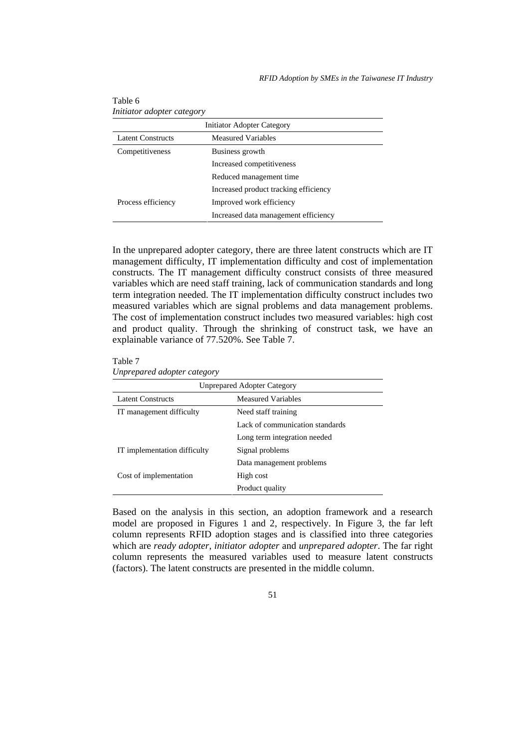| <b>Initiator Adopter Category</b> |                                       |  |
|-----------------------------------|---------------------------------------|--|
| <b>Latent Constructs</b>          | <b>Measured Variables</b>             |  |
| Competitiveness                   | Business growth                       |  |
|                                   | Increased competitiveness             |  |
|                                   | Reduced management time               |  |
|                                   | Increased product tracking efficiency |  |
| Process efficiency                | Improved work efficiency              |  |
|                                   | Increased data management efficiency  |  |

Table 6 *Initiator adopter category* 

In the unprepared adopter category, there are three latent constructs which are IT management difficulty, IT implementation difficulty and cost of implementation constructs. The IT management difficulty construct consists of three measured variables which are need staff training, lack of communication standards and long term integration needed. The IT implementation difficulty construct includes two measured variables which are signal problems and data management problems. The cost of implementation construct includes two measured variables: high cost and product quality. Through the shrinking of construct task, we have an explainable variance of 77.520%. See Table 7.

Table 7

*Unprepared adopter category* 

| <b>Unprepared Adopter Category</b> |                                 |  |
|------------------------------------|---------------------------------|--|
| Latent Constructs                  | Measured Variables              |  |
| IT management difficulty           | Need staff training             |  |
|                                    | Lack of communication standards |  |
|                                    | Long term integration needed    |  |
| IT implementation difficulty       | Signal problems                 |  |
|                                    | Data management problems        |  |
| Cost of implementation             | High cost                       |  |
|                                    | Product quality                 |  |

Based on the analysis in this section, an adoption framework and a research model are proposed in Figures 1 and 2, respectively. In Figure 3, the far left column represents RFID adoption stages and is classified into three categories which are *ready adopter*, *initiator adopter* and *unprepared adopter*. The far right column represents the measured variables used to measure latent constructs (factors). The latent constructs are presented in the middle column.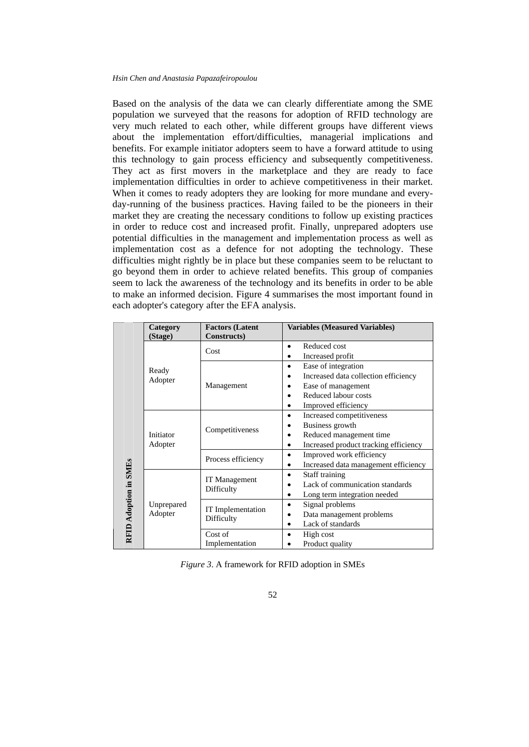Based on the analysis of the data we can clearly differentiate among the SME population we surveyed that the reasons for adoption of RFID technology are very much related to each other, while different groups have different views about the implementation effort/difficulties, managerial implications and benefits. For example initiator adopters seem to have a forward attitude to using this technology to gain process efficiency and subsequently competitiveness. They act as first movers in the marketplace and they are ready to face implementation difficulties in order to achieve competitiveness in their market. When it comes to ready adopters they are looking for more mundane and everyday-running of the business practices. Having failed to be the pioneers in their market they are creating the necessary conditions to follow up existing practices in order to reduce cost and increased profit. Finally, unprepared adopters use potential difficulties in the management and implementation process as well as implementation cost as a defence for not adopting the technology. These difficulties might rightly be in place but these companies seem to be reluctant to go beyond them in order to achieve related benefits. This group of companies seem to lack the awareness of the technology and its benefits in order to be able to make an informed decision. Figure 4 summarises the most important found in each adopter's category after the EFA analysis.

|                                                          | Category   | <b>Factors (Latent</b>      | <b>Variables (Measured Variables)</b>      |
|----------------------------------------------------------|------------|-----------------------------|--------------------------------------------|
|                                                          | (Stage)    | Constructs)                 |                                            |
|                                                          |            | Cost                        | Reduced cost<br>$\bullet$                  |
|                                                          |            |                             | Increased profit                           |
|                                                          | Ready      |                             | Ease of integration<br>$\bullet$           |
|                                                          | Adopter    |                             | Increased data collection efficiency       |
|                                                          |            | Management                  | Ease of management<br>٠                    |
|                                                          |            |                             | Reduced labour costs<br>٠                  |
|                                                          |            |                             | Improved efficiency<br>٠                   |
|                                                          |            |                             | Increased competitiveness<br>٠             |
|                                                          |            | Competitiveness             | Business growth<br>٠                       |
| Initiator<br>Adopter<br>RFID Adoption in SMEs<br>Adopter |            |                             | Reduced management time<br>٠               |
|                                                          |            |                             | Increased product tracking efficiency<br>٠ |
|                                                          |            | Process efficiency          | Improved work efficiency                   |
|                                                          |            |                             | Increased data management efficiency<br>٠  |
|                                                          |            | IT Management<br>Difficulty | Staff training<br>$\bullet$                |
|                                                          |            |                             | Lack of communication standards            |
|                                                          |            |                             | Long term integration needed<br>٠          |
|                                                          | Unprepared | <b>IT</b> Implementation    | Signal problems<br>$\bullet$               |
|                                                          |            | Difficulty                  | Data management problems<br>٠              |
|                                                          |            |                             | Lack of standards<br>٠                     |
|                                                          |            | Cost of                     | High cost                                  |
|                                                          |            | Implementation              | Product quality                            |

*Figure 3*. A framework for RFID adoption in SMEs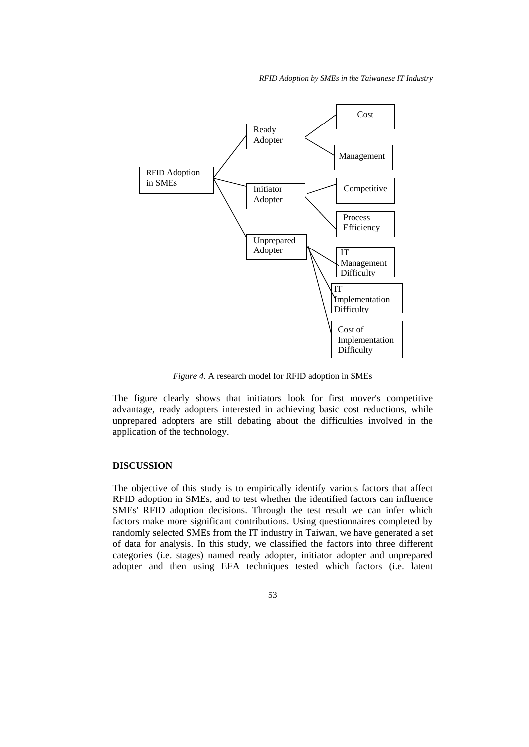*RFID Adoption by SMEs in the Taiwanese IT Industry* 



*Figure 4.* A research model for RFID adoption in SMEs

The figure clearly shows that initiators look for first mover's competitive advantage, ready adopters interested in achieving basic cost reductions, while unprepared adopters are still debating about the difficulties involved in the application of the technology.

### **DISCUSSION**

The objective of this study is to empirically identify various factors that affect RFID adoption in SMEs, and to test whether the identified factors can influence SMEs' RFID adoption decisions. Through the test result we can infer which factors make more significant contributions. Using questionnaires completed by randomly selected SMEs from the IT industry in Taiwan, we have generated a set of data for analysis. In this study, we classified the factors into three different categories (i.e. stages) named ready adopter, initiator adopter and unprepared adopter and then using EFA techniques tested which factors (i.e. latent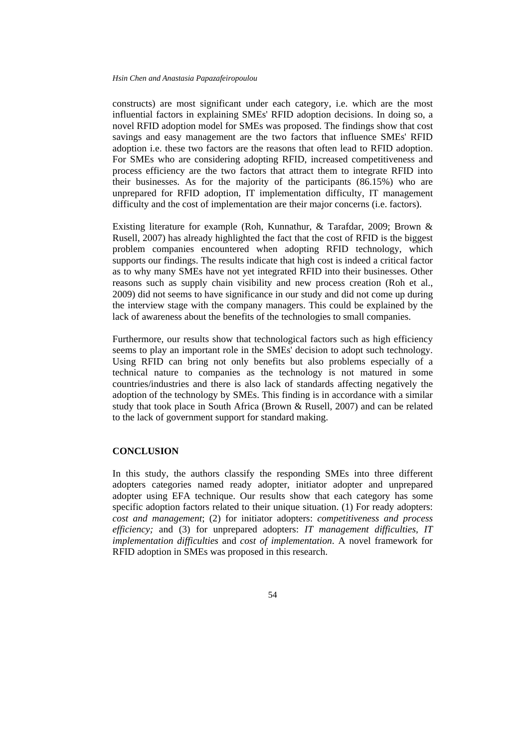constructs) are most significant under each category, i.e. which are the most influential factors in explaining SMEs' RFID adoption decisions. In doing so, a novel RFID adoption model for SMEs was proposed. The findings show that cost savings and easy management are the two factors that influence SMEs' RFID adoption i.e. these two factors are the reasons that often lead to RFID adoption. For SMEs who are considering adopting RFID, increased competitiveness and process efficiency are the two factors that attract them to integrate RFID into their businesses. As for the majority of the participants (86.15%) who are unprepared for RFID adoption, IT implementation difficulty, IT management difficulty and the cost of implementation are their major concerns (i.e. factors).

Existing literature for example (Roh, Kunnathur, & Tarafdar, 2009; Brown & Rusell, 2007) has already highlighted the fact that the cost of RFID is the biggest problem companies encountered when adopting RFID technology, which supports our findings. The results indicate that high cost is indeed a critical factor as to why many SMEs have not yet integrated RFID into their businesses. Other reasons such as supply chain visibility and new process creation (Roh et al., 2009) did not seems to have significance in our study and did not come up during the interview stage with the company managers. This could be explained by the lack of awareness about the benefits of the technologies to small companies.

Furthermore, our results show that technological factors such as high efficiency seems to play an important role in the SMEs' decision to adopt such technology. Using RFID can bring not only benefits but also problems especially of a technical nature to companies as the technology is not matured in some countries/industries and there is also lack of standards affecting negatively the adoption of the technology by SMEs. This finding is in accordance with a similar study that took place in South Africa (Brown & Rusell, 2007) and can be related to the lack of government support for standard making.

## **CONCLUSION**

In this study, the authors classify the responding SMEs into three different adopters categories named ready adopter, initiator adopter and unprepared adopter using EFA technique. Our results show that each category has some specific adoption factors related to their unique situation. (1) For ready adopters: *cost and management*; (2) for initiator adopters: *competitiveness and process efficiency;* and (3) for unprepared adopters: *IT management difficulties, IT implementation difficulties* and *cost of implementation*. A novel framework for RFID adoption in SMEs was proposed in this research.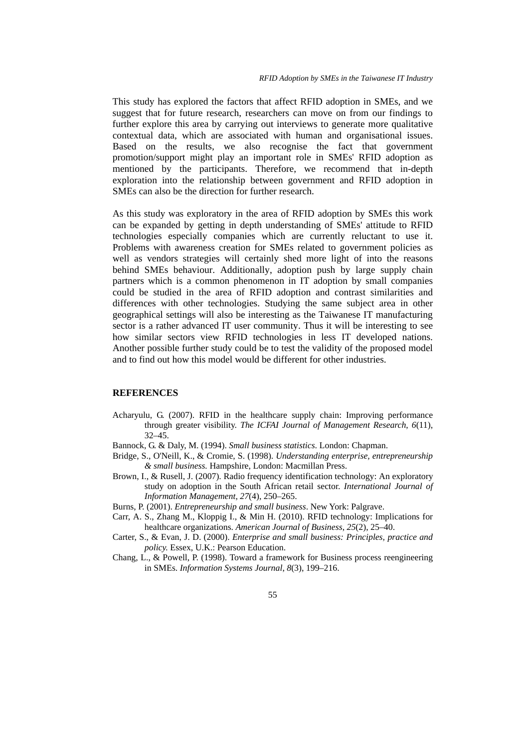This study has explored the factors that affect RFID adoption in SMEs, and we suggest that for future research, researchers can move on from our findings to further explore this area by carrying out interviews to generate more qualitative contextual data, which are associated with human and organisational issues. Based on the results, we also recognise the fact that government promotion/support might play an important role in SMEs' RFID adoption as mentioned by the participants. Therefore, we recommend that in-depth exploration into the relationship between government and RFID adoption in SMEs can also be the direction for further research.

As this study was exploratory in the area of RFID adoption by SMEs this work can be expanded by getting in depth understanding of SMEs' attitude to RFID technologies especially companies which are currently reluctant to use it. Problems with awareness creation for SMEs related to government policies as well as vendors strategies will certainly shed more light of into the reasons behind SMEs behaviour. Additionally, adoption push by large supply chain partners which is a common phenomenon in IT adoption by small companies could be studied in the area of RFID adoption and contrast similarities and differences with other technologies. Studying the same subject area in other geographical settings will also be interesting as the Taiwanese IT manufacturing sector is a rather advanced IT user community. Thus it will be interesting to see how similar sectors view RFID technologies in less IT developed nations. Another possible further study could be to test the validity of the proposed model and to find out how this model would be different for other industries.

### **REFERENCES**

- Acharyulu, G. (2007). RFID in the healthcare supply chain: Improving performance through greater visibility. *The ICFAI Journal of Management Research*, *6*(11), 32–45.
- Bannock, G. & Daly, M. (1994). *Small business statistics*. London: Chapman.
- Bridge, S., O'Neill, K., & Cromie, S. (1998). *Understanding enterprise, entrepreneurship & small business.* Hampshire, London: Macmillan Press.
- Brown, I., & Rusell, J. (2007). Radio frequency identification technology: An exploratory study on adoption in the South African retail sector. *International Journal of Information Management*, *27*(4), 250–265.

Burns, P. (2001). *Entrepreneurship and small business*. New York: Palgrave.

- Carr, A. S., Zhang M., Kloppig I., & Min H. (2010). RFID technology: Implications for healthcare organizations. *American Journal of Business*, *25*(2), 25–40.
- Carter, S., & Evan, J. D. (2000). *Enterprise and small business: Principles, practice and policy.* Essex, U.K.: Pearson Education.
- Chang, L., & Powell, P. (1998). Toward a framework for Business process reengineering in SMEs. *Information Systems Journal*, *8*(3), 199–216.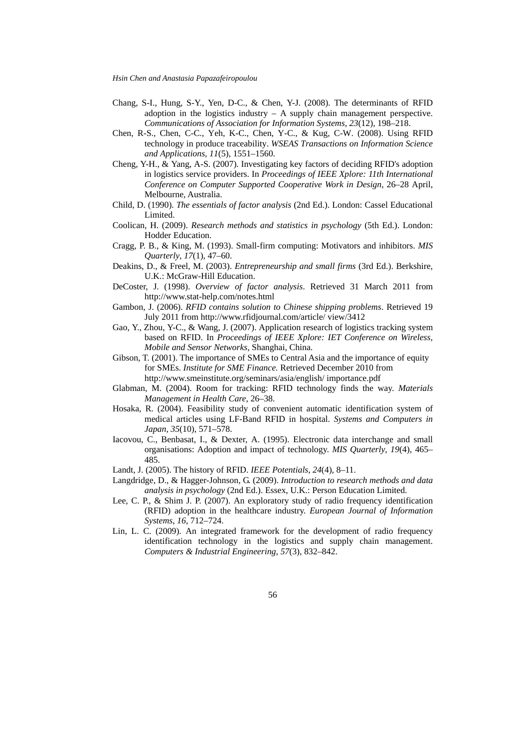- Chang, S-I., Hung, S-Y., Yen, D-C., & Chen, Y-J. (2008). The determinants of RFID adoption in the logistics industry  $- A$  supply chain management perspective. *Communications of Association for Information Systems*, *23*(12), 198–218.
- Chen, R-S., Chen, C-C., Yeh, K-C., Chen, Y-C., & Kug, C-W. (2008). Using RFID technology in produce traceability. *WSEAS Transactions on Information Science and Applications*, *11*(5), 1551–1560.
- Cheng, Y-H., & Yang, A-S. (2007). Investigating key factors of deciding RFID's adoption in logistics service providers. In *Proceedings of IEEE Xplore: 11th International Conference on Computer Supported Cooperative Work in Design*, 26–28 April, Melbourne, Australia.
- Child, D. (1990). *The essentials of factor analysis* (2nd Ed.). London: Cassel Educational Limited.
- Coolican, H. (2009). *Research methods and statistics in psychology* (5th Ed.). London: Hodder Education.
- Cragg, P. B., & King, M. (1993). Small-firm computing: Motivators and inhibitors. *MIS Quarterly*, *17*(1), 47–60.
- Deakins, D., & Freel, M. (2003). *Entrepreneurship and small firms* (3rd Ed.). Berkshire, U.K.: McGraw-Hill Education.
- DeCoster, J. (1998). *Overview of factor analysis*. Retrieved 31 March 2011 from http://www.stat-help.com/notes.html
- Gambon, J. (2006). *RFID contains solution to Chinese shipping problems*. Retrieved 19 July 2011 from http://www.rfidjournal.com/article/ view/3412
- Gao, Y., Zhou, Y-C., & Wang, J. (2007). Application research of logistics tracking system based on RFID. In *Proceedings of IEEE Xplore: IET Conference on Wireless, Mobile and Sensor Networks*, Shanghai, China.
- Gibson, T. (2001). The importance of SMEs to Central Asia and the importance of equity for SMEs. *Institute for SME Finance.* Retrieved December 2010 from http://www.smeinstitute.org/seminars/asia/english/ importance.pdf
- Glabman, M. (2004). Room for tracking: RFID technology finds the way. *Materials Management in Health Care*, 26–38.
- Hosaka, R. (2004). Feasibility study of convenient automatic identification system of medical articles using LF-Band RFID in hospital. *Systems and Computers in Japan*, *35*(10), 571–578.
- Iacovou, C., Benbasat, I., & Dexter, A. (1995). Electronic data interchange and small organisations: Adoption and impact of technology. *MIS Quarterly*, *19*(4), 465– 485.
- Landt, J. (2005). The history of RFID. *IEEE Potentials*, *24*(4), 8–11.
- Langdridge, D., & Hagger-Johnson, G. (2009). *Introduction to research methods and data analysis in psychology* (2nd Ed.). Essex, U.K.: Person Education Limited.
- Lee, C. P., & Shim J. P. (2007). An exploratory study of radio frequency identification (RFID) adoption in the healthcare industry. *European Journal of Information Systems*, *16*, 712–724.
- Lin, L. C. (2009). An integrated framework for the development of radio frequency identification technology in the logistics and supply chain management. *Computers & Industrial Engineering*, *57*(3), 832–842.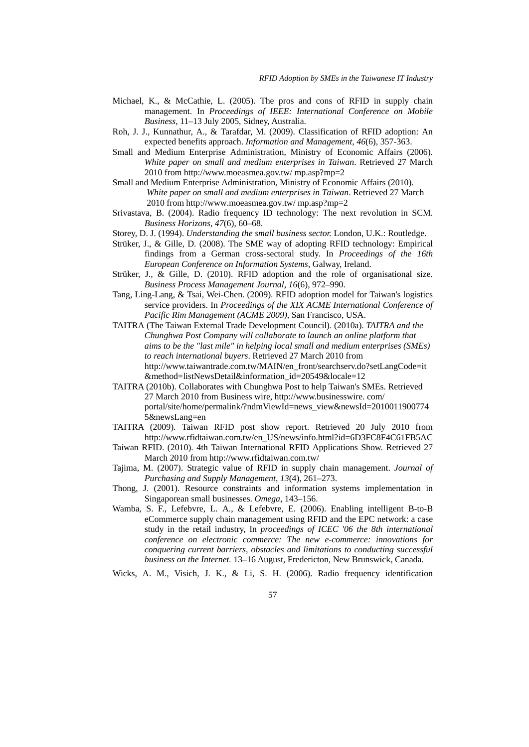- Michael, K., & McCathie, L. (2005). The pros and cons of RFID in supply chain management. In *Proceedings o[f IEEE: International Conference on M](http://ieeexplore.ieee.org/xpl/mostRecentIssue.jsp?punumber=9999)obile Business*, 11–13 July 2005, Sidney, Australia.
- Roh, J. J., Kunnathur, A., & Tarafdar, M. (2009). Classification of RFID adoption: An expected benefits approach. *Information and Management*, *46*(6), 357-363.
- Small and Medium Enterprise Administration, Ministry of Economic Affairs (2006). *White paper on small and medium enterprises in Taiwan*. Retrieved 27 March 2010 from http://www.moeasmea.gov.tw/ mp.asp?mp=2
- Small and Medium Enterprise Administration, Ministry of Economic Affairs (2010). *White paper on small and medium enterprises in Taiwan*. Retrieved 27 March 2010 from http://www.moeasmea.gov.tw/ mp.asp?mp=2
- Srivastava, B. (2004). Radio frequency ID technology: The next revolution in SCM. *Business Horizons*, *47*(6), 60–68.
- Storey, D. J. (1994). *Understanding the small business sector.* London, U.K.: Routledge.
- Strüker, J., & Gille, D. (2008). The SME way of adopting RFID technology: Empirical findings from a German cross-sectoral study. In *Proceedings of the 16th European Conference on Information Systems*, Galway, Ireland.
- Strüker, J., & Gille, D. (2010). RFID adoption and the role of organisational size. *Business Process Management Journal*, *16*(6), 972–990.
- Tang, Ling-Lang, & Tsai, Wei-Chen. (2009). RFID adoption model for Taiwan's logistics service providers. In *Proceedings of the XIX ACME International Conference of Pacific Rim Management (ACME 2009),* San Francisco, USA.
- [TAITRA](http://www.taitra.com.tw/) (The Taiwan External Trade Development Council). (2010a). *[TAITRA](http://www.taitra.com.tw/) and the Chunghwa Post Company will collaborate to launch an online platform that aims to be the "last mile" in helping local small and medium enterprises (SMEs) to reach international buyers*. Retrieved 27 March 2010 from http://www.taiwantrade.com.tw/MAIN/en\_front/searchserv.do?setLangCode=it &method=listNewsDetail&information\_id=20549&locale=12
- TAITRA (2010b). Collaborates with Chunghwa Post to help Taiwan's SMEs. Retrieved 27 March 2010 from Business wire, [http://www.businesswire](http://www.businesswire/). com/ portal/site/home/permalink/?ndmViewId=news\_view&newsId=2010011900774 5&newsLang=en
- TAITRA (2009). Taiwan RFID post show report. Retrieved 20 July 2010 from http://www.rfidtaiwan.com.tw/en\_US/news/info.html?id=6D3FC8F4C61FB5AC
- Taiwan RFID. (2010). 4th Taiwan International RFID Applications Show. Retrieved 27 March 2010 from http://www.rfidtaiwan.com.tw/
- Tajima, M. (2007). Strategic value of RFID in supply chain management. *Journal of Purchasing and Supply Management*, *13*(4), 261–273.
- Thong, J. (2001). Resource constraints and information systems implementation in Singaporean small businesses. *Omega*, 143–156.
- Wamba, S. F., Lefebvre, L. A., & Lefebvre, E. (2006). Enabling intelligent B-to-B eCommerce supply chain management using RFID and the EPC network: a case study in the retail industry, In *proceedings of ICEC '06 the 8th international conference on electronic commerce: The new e-commerce: innovations for conquering current barriers, obstacles and limitations to conducting successful business on the Internet.* 13–16 August, Fredericton, New Brunswick, Canada.
- Wicks, A. M., Visich, J. K., & Li, S. H. (2006). Radio frequency identification